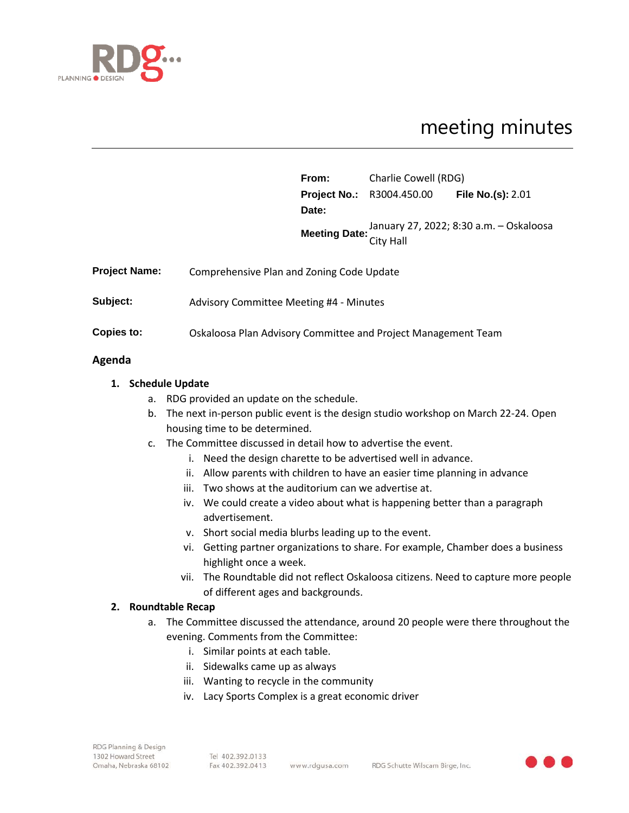

# meeting minutes

|                      |                                                               | From:         | Charlie Cowell (RDG)                               |                                         |
|----------------------|---------------------------------------------------------------|---------------|----------------------------------------------------|-----------------------------------------|
|                      |                                                               |               | <b>Project No.:</b> R3004.450.00 File No.(s): 2.01 |                                         |
|                      |                                                               | Date:         |                                                    |                                         |
|                      |                                                               | Meeting Date: |                                                    | January 27, 2022; 8:30 a.m. - Oskaloosa |
|                      |                                                               |               | City Hall                                          |                                         |
| <b>Project Name:</b> | Comprehensive Plan and Zoning Code Update                     |               |                                                    |                                         |
| Subject:             | Advisory Committee Meeting #4 - Minutes                       |               |                                                    |                                         |
| Copies to:           | Oskaloosa Plan Advisory Committee and Project Management Team |               |                                                    |                                         |

### **Agenda**

## **1. Schedule Update**

- a. RDG provided an update on the schedule.
- b. The next in-person public event is the design studio workshop on March 22-24. Open housing time to be determined.
- c. The Committee discussed in detail how to advertise the event.
	- i. Need the design charette to be advertised well in advance.
	- ii. Allow parents with children to have an easier time planning in advance
	- iii. Two shows at the auditorium can we advertise at.
	- iv. We could create a video about what is happening better than a paragraph advertisement.
	- v. Short social media blurbs leading up to the event.
	- vi. Getting partner organizations to share. For example, Chamber does a business highlight once a week.
	- vii. The Roundtable did not reflect Oskaloosa citizens. Need to capture more people of different ages and backgrounds.

### **2. Roundtable Recap**

- a. The Committee discussed the attendance, around 20 people were there throughout the evening. Comments from the Committee:
	- i. Similar points at each table.
	- ii. Sidewalks came up as always
	- iii. Wanting to recycle in the community
	- iv. Lacy Sports Complex is a great economic driver

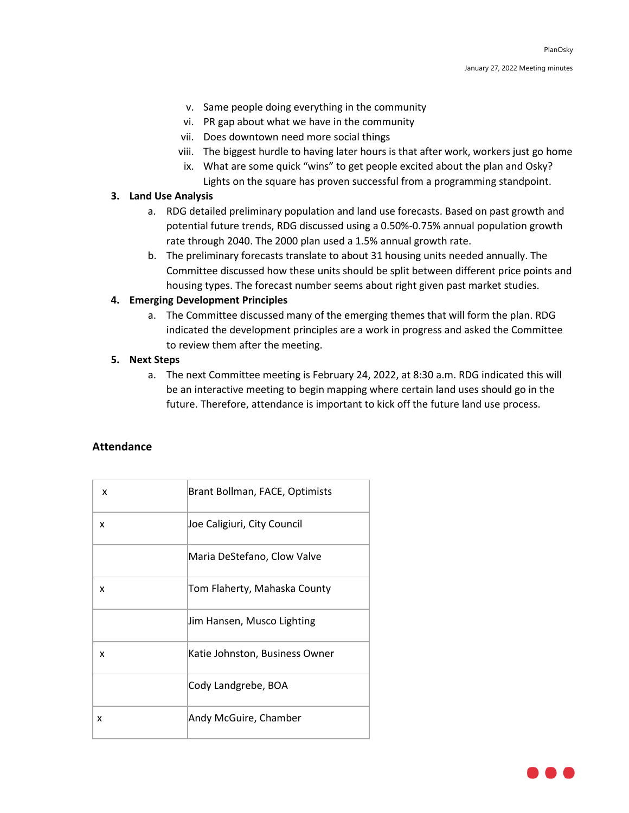- v. Same people doing everything in the community
- vi. PR gap about what we have in the community
- vii. Does downtown need more social things
- viii. The biggest hurdle to having later hours is that after work, workers just go home
- ix. What are some quick "wins" to get people excited about the plan and Osky? Lights on the square has proven successful from a programming standpoint.

#### **3. Land Use Analysis**

- a. RDG detailed preliminary population and land use forecasts. Based on past growth and potential future trends, RDG discussed using a 0.50%-0.75% annual population growth rate through 2040. The 2000 plan used a 1.5% annual growth rate.
- b. The preliminary forecasts translate to about 31 housing units needed annually. The Committee discussed how these units should be split between different price points and housing types. The forecast number seems about right given past market studies.

### **4. Emerging Development Principles**

a. The Committee discussed many of the emerging themes that will form the plan. RDG indicated the development principles are a work in progress and asked the Committee to review them after the meeting.

### **5. Next Steps**

a. The next Committee meeting is February 24, 2022, at 8:30 a.m. RDG indicated this will be an interactive meeting to begin mapping where certain land uses should go in the future. Therefore, attendance is important to kick off the future land use process.

# **Attendance**

| x | Brant Bollman, FACE, Optimists |
|---|--------------------------------|
| x | Joe Caligiuri, City Council    |
|   | Maria DeStefano, Clow Valve    |
| x | Tom Flaherty, Mahaska County   |
|   | Jim Hansen, Musco Lighting     |
| x | Katie Johnston, Business Owner |
|   | Cody Landgrebe, BOA            |
| x | Andy McGuire, Chamber          |